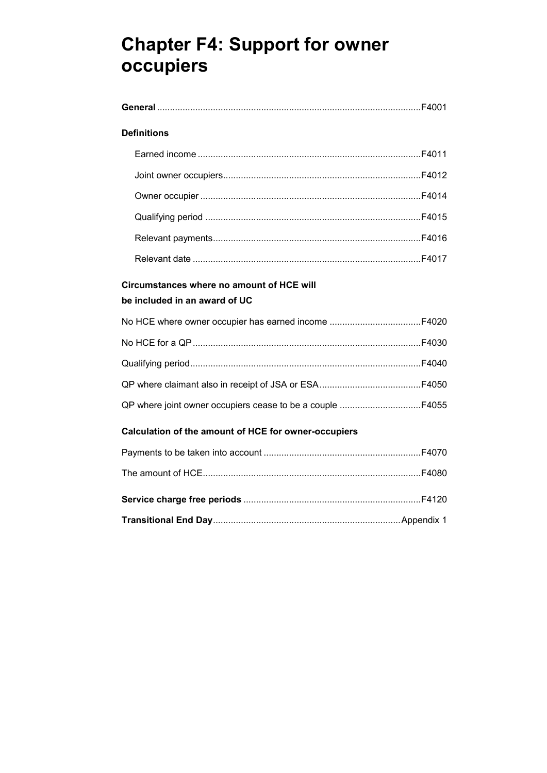# **Chapter F4: Support for owner occupiers**

| <b>Definitions</b>                                   |  |
|------------------------------------------------------|--|
|                                                      |  |
|                                                      |  |
|                                                      |  |
|                                                      |  |
|                                                      |  |
|                                                      |  |
| Circumstances where no amount of HCE will            |  |
| be included in an award of UC                        |  |
|                                                      |  |
|                                                      |  |
|                                                      |  |
|                                                      |  |
|                                                      |  |
| Calculation of the amount of HCE for owner-occupiers |  |
|                                                      |  |
|                                                      |  |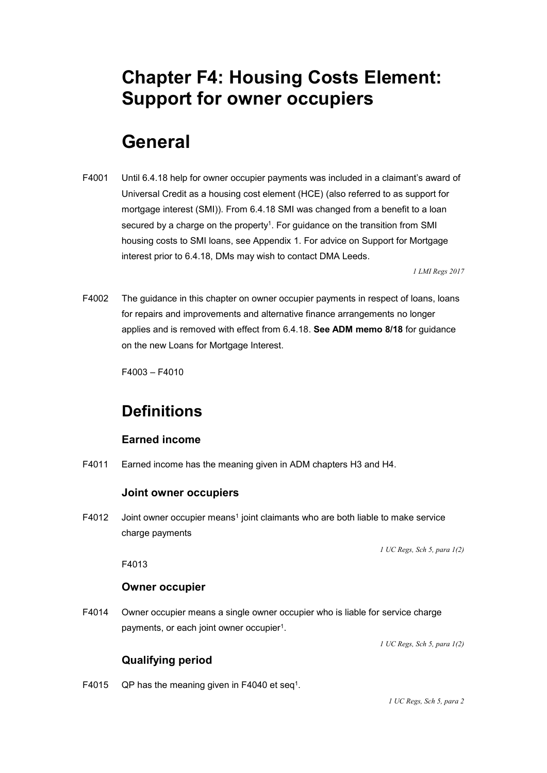# **Chapter F4: Housing Costs Element: Support for owner occupiers**

# **General**

F4001 Until 6.4.18 help for owner occupier payments was included in a claimant's award of Universal Credit as a housing cost element (HCE) (also referred to as support for mortgage interest (SMI)). From 6.4.18 SMI was changed from a benefit to a loan secured by a charge on the property<sup>1</sup>. For guidance on the transition from SMI housing costs to SMI loans, see Appendix 1. For advice on Support for Mortgage interest prior to 6.4.18, DMs may wish to contact DMA Leeds.

*1 LMI Regs 2017* 

F4002 The quidance in this chapter on owner occupier payments in respect of loans, loans for repairs and improvements and alternative finance arrangements no longer applies and is removed with effect from 6.4.18. **See ADM memo 8/18** for guidance on the new Loans for Mortgage Interest.

F4003 – F4010

# **Definitions**

### **Earned income**

F4011 Earned income has the meaning given in ADM chapters H3 and H4.

#### **Joint owner occupiers**

F4012 Joint owner occupier means<sup>1</sup> joint claimants who are both liable to make service charge payments

 *1 UC Regs, Sch 5, para 1(2)* 

F4013

#### **Owner occupier**

F4014 Owner occupier means a single owner occupier who is liable for service charge payments, or each joint owner occupier<sup>1</sup>.

 *1 UC Regs, Sch 5, para 1(2)* 

### **Qualifying period**

F4015 QP has the meaning given in F4040 et seq<sup>1</sup>.

 *1 UC Regs, Sch 5, para 2*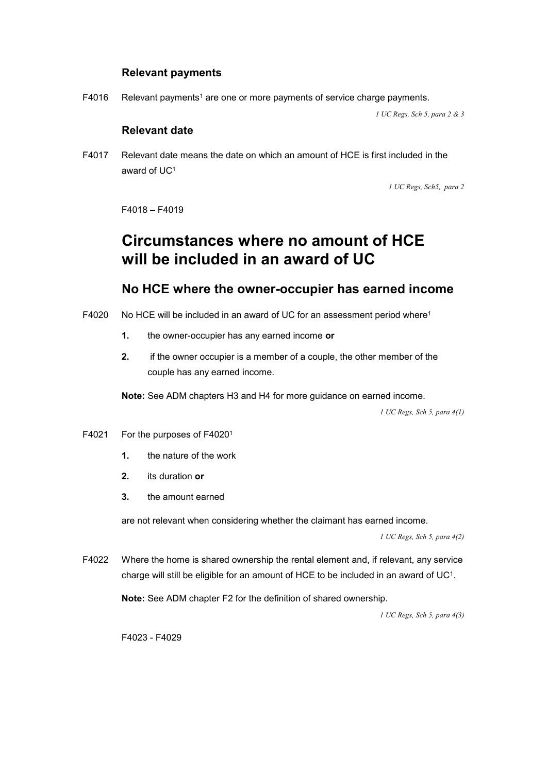### **Relevant payments**

F4016 Relevant payments<sup>1</sup> are one or more payments of service charge payments.

 *1 UC Regs, Sch 5, para 2 & 3* 

### **Relevant date**

F4017 Relevant date means the date on which an amount of HCE is first included in the award of UC1

 *1 UC Regs, Sch5, para 2* 

F4018 – F4019

# **Circumstances where no amount of HCE will be included in an award of UC**

## **No HCE where the owner-occupier has earned income**

- F4020 No HCE will be included in an award of UC for an assessment period where<sup>1</sup>
	- **1.** the owner-occupier has any earned income **or**
	- **2.** if the owner occupier is a member of a couple, the other member of the couple has any earned income.

**Note:** See ADM chapters H3 and H4 for more guidance on earned income.

 *1 UC Regs, Sch 5, para 4(1)* 

- F4021 For the purposes of F4020<sup>1</sup>
	- **1.** the nature of the work
	- **2.** its duration **or**
	- **3.** the amount earned

are not relevant when considering whether the claimant has earned income.

 *1 UC Regs, Sch 5, para 4(2)* 

F4022 Where the home is shared ownership the rental element and, if relevant, any service charge will still be eligible for an amount of HCE to be included in an award of UC1.

**Note:** See ADM chapter F2 for the definition of shared ownership.

 *1 UC Regs, Sch 5, para 4(3)* 

F4023 - F4029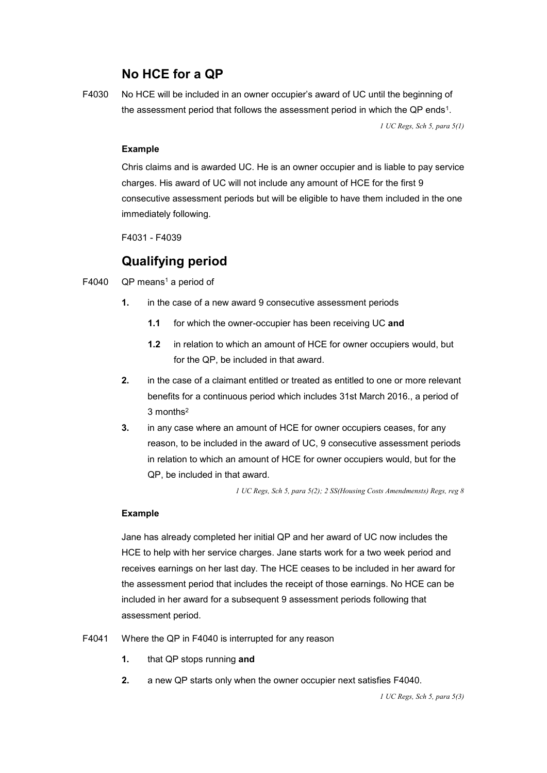# **No HCE for a QP**

F4030 No HCE will be included in an owner occupier's award of UC until the beginning of the assessment period that follows the assessment period in which the QP ends1.

 *1 UC Regs, Sch 5, para 5(1)* 

#### **Example**

Chris claims and is awarded UC. He is an owner occupier and is liable to pay service charges. His award of UC will not include any amount of HCE for the first 9 consecutive assessment periods but will be eligible to have them included in the one immediately following.

F4031 - F4039

# **Qualifying period**

F4040  $QP$  means<sup>1</sup> a period of

- **1.** in the case of a new award 9 consecutive assessment periods
	- **1.1** for which the owner-occupier has been receiving UC **and**
	- **1.2** in relation to which an amount of HCE for owner occupiers would, but for the QP, be included in that award.
- **2.** in the case of a claimant entitled or treated as entitled to one or more relevant benefits for a continuous period which includes 31st March 2016., a period of 3 months2
- **3.** in any case where an amount of HCE for owner occupiers ceases, for any reason, to be included in the award of UC, 9 consecutive assessment periods in relation to which an amount of HCE for owner occupiers would, but for the QP, be included in that award.

 *1 UC Regs, Sch 5, para 5(2); 2 SS(Housing Costs Amendmensts) Regs, reg 8* 

#### **Example**

Jane has already completed her initial QP and her award of UC now includes the HCE to help with her service charges. Jane starts work for a two week period and receives earnings on her last day. The HCE ceases to be included in her award for the assessment period that includes the receipt of those earnings. No HCE can be included in her award for a subsequent 9 assessment periods following that assessment period.

F4041 Where the QP in F4040 is interrupted for any reason

- **1.** that QP stops running **and**
- **2.** a new QP starts only when the owner occupier next satisfies F4040.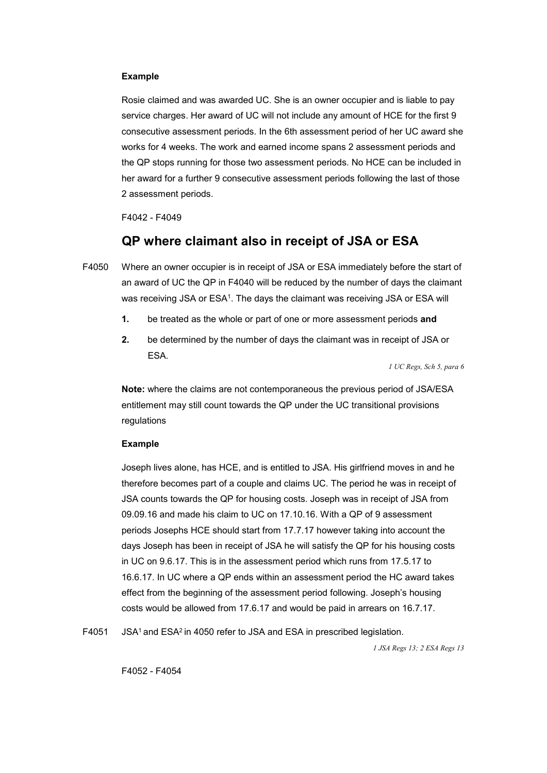#### **Example**

Rosie claimed and was awarded UC. She is an owner occupier and is liable to pay service charges. Her award of UC will not include any amount of HCE for the first 9 consecutive assessment periods. In the 6th assessment period of her UC award she works for 4 weeks. The work and earned income spans 2 assessment periods and the QP stops running for those two assessment periods. No HCE can be included in her award for a further 9 consecutive assessment periods following the last of those 2 assessment periods.

F4042 - F4049

## **QP where claimant also in receipt of JSA or ESA**

- F4050 Where an owner occupier is in receipt of JSA or ESA immediately before the start of an award of UC the QP in F4040 will be reduced by the number of days the claimant was receiving JSA or ESA<sup>1</sup>. The days the claimant was receiving JSA or ESA will
	- **1.** be treated as the whole or part of one or more assessment periods **and**
	- **2.** be determined by the number of days the claimant was in receipt of JSA or ESA.

 *1 UC Regs, Sch 5, para 6* 

 regulations **Note:** where the claims are not contemporaneous the previous period of JSA/ESA entitlement may still count towards the QP under the UC transitional provisions

#### **Example**

Joseph lives alone, has HCE, and is entitled to JSA. His girlfriend moves in and he therefore becomes part of a couple and claims UC. The period he was in receipt of JSA counts towards the QP for housing costs. Joseph was in receipt of JSA from 09.09.16 and made his claim to UC on 17.10.16. With a QP of 9 assessment periods Josephs HCE should start from 17.7.17 however taking into account the days Joseph has been in receipt of JSA he will satisfy the QP for his housing costs in UC on 9.6.17. This is in the assessment period which runs from 17.5.17 to 16.6.17. In UC where a QP ends within an assessment period the HC award takes effect from the beginning of the assessment period following. Joseph's housing costs would be allowed from 17.6.17 and would be paid in arrears on 16.7.17.

F4051 JSA<sup>1</sup> and ESA<sup>2</sup> in 4050 refer to JSA and ESA in prescribed legislation.

 *1 JSA Regs 13; 2 ESA Regs 13* 

F4052 - F4054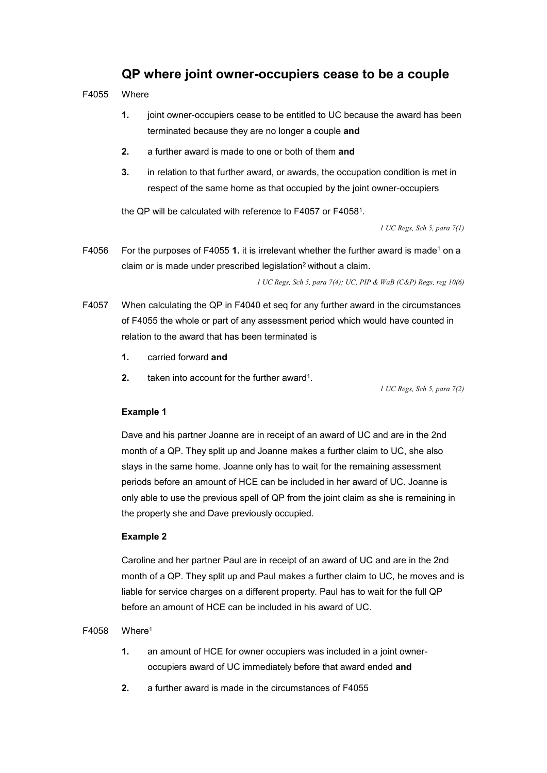## **QP where joint owner-occupiers cease to be a couple**

F4055 Where

- **1.** joint owner-occupiers cease to be entitled to UC because the award has been terminated because they are no longer a couple **and**
- **2.** a further award is made to one or both of them **and**
- **3.** in relation to that further award, or awards, the occupation condition is met in respect of the same home as that occupied by the joint owner-occupiers

the QP will be calculated with reference to F4057 or F40581.

 *1 UC Regs, Sch 5, para 7(1)* 

F4056 For the purposes of F4055 1. it is irrelevant whether the further award is made<sup>1</sup> on a claim or is made under prescribed legislation<sup>2</sup> without a claim.

 *1 UC Regs, Sch 5, para 7(4); UC, PIP & WaB (C&P) Regs, reg 10(6)* 

- F4057 When calculating the QP in F4040 et seq for any further award in the circumstances of F4055 the whole or part of any assessment period which would have counted in relation to the award that has been terminated is
	- **1.** carried forward **and**
	- **2.** taken into account for the further award<sup>1</sup>.

 *1 UC Regs, Sch 5, para 7(2)* 

#### **Example 1**

Dave and his partner Joanne are in receipt of an award of UC and are in the 2nd month of a QP. They split up and Joanne makes a further claim to UC, she also stays in the same home. Joanne only has to wait for the remaining assessment periods before an amount of HCE can be included in her award of UC. Joanne is only able to use the previous spell of QP from the joint claim as she is remaining in the property she and Dave previously occupied.

#### **Example 2**

Caroline and her partner Paul are in receipt of an award of UC and are in the 2nd month of a QP. They split up and Paul makes a further claim to UC, he moves and is liable for service charges on a different property. Paul has to wait for the full QP before an amount of HCE can be included in his award of UC.

#### $F4058$  Where<sup>1</sup>

- **1.** an amount of HCE for owner occupiers was included in a joint owneroccupiers award of UC immediately before that award ended **and**
- **2.** a further award is made in the circumstances of F4055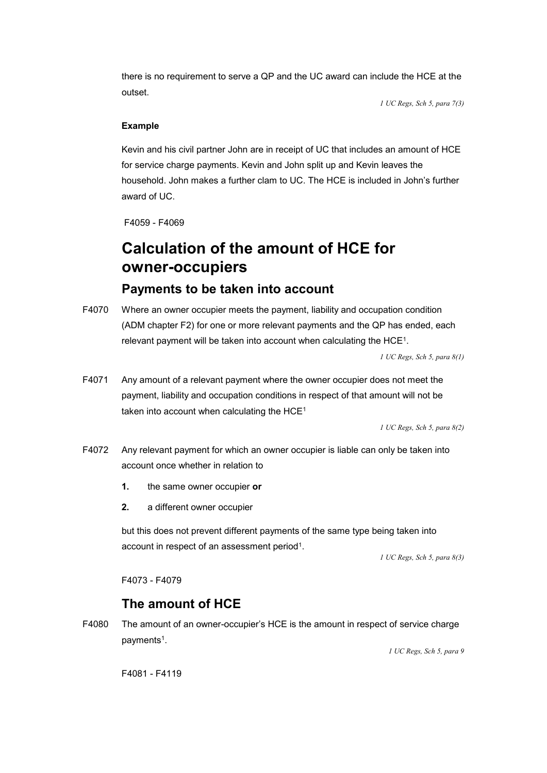there is no requirement to serve a QP and the UC award can include the HCE at the outset.

 *1 UC Regs, Sch 5, para 7(3)* 

### **Example**

Kevin and his civil partner John are in receipt of UC that includes an amount of HCE for service charge payments. Kevin and John split up and Kevin leaves the household. John makes a further clam to UC. The HCE is included in John's further award of UC.

F4059 - F4069

# **Calculation of the amount of HCE for owner-occupiers**

# **Payments to be taken into account**

F4070 Where an owner occupier meets the payment, liability and occupation condition (ADM chapter F2) for one or more relevant payments and the QP has ended, each relevant payment will be taken into account when calculating the HCE1.

 *1 UC Regs, Sch 5, para 8(1)* 

F4071 Any amount of a relevant payment where the owner occupier does not meet the payment, liability and occupation conditions in respect of that amount will not be taken into account when calculating the HCE<sup>1</sup>

 *1 UC Regs, Sch 5, para 8(2)* 

- F4072 Any relevant payment for which an owner occupier is liable can only be taken into account once whether in relation to
	- **1.** the same owner occupier **or**
	- **2.** a different owner occupier

but this does not prevent different payments of the same type being taken into account in respect of an assessment period<sup>1</sup>.

 *1 UC Regs, Sch 5, para 8(3)* 

F4073 - F4079

## **The amount of HCE**

F4080 The amount of an owner-occupier's HCE is the amount in respect of service charge payments<sup>1</sup>.

 *1 UC Regs, Sch 5, para 9* 

F4081 - F4119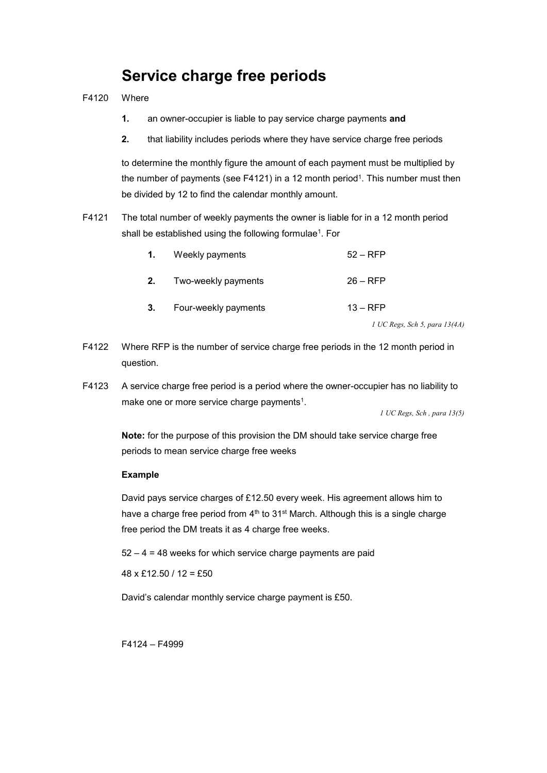# **Service charge free periods**

- F4120 Where
	- **1.** an owner-occupier is liable to pay service charge payments **and**
	- **2.** that liability includes periods where they have service charge free periods

to determine the monthly figure the amount of each payment must be multiplied by the number of payments (see F4121) in a 12 month period<sup>1</sup>. This number must then be divided by 12 to find the calendar monthly amount.

F4121 The total number of weekly payments the owner is liable for in a 12 month period shall be established using the following formulae<sup>1</sup>. For

| $\mathbf{1}$ . | Weekly payments      | $52 - RFP$ |
|----------------|----------------------|------------|
| 2.             | Two-weekly payments  | $26 - RFP$ |
| 3.             | Four-weekly payments | $13 - RFP$ |

 *1 UC Regs, Sch 5, para 13(4A)* 

- F4122 Where RFP is the number of service charge free periods in the 12 month period in question.
- F4123 A service charge free period is a period where the owner-occupier has no liability to make one or more service charge payments<sup>1</sup>.

 *1 UC Regs, Sch , para 13(5)* 

**Note:** for the purpose of this provision the DM should take service charge free periods to mean service charge free weeks

#### **Example**

David pays service charges of £12.50 every week. His agreement allows him to have a charge free period from  $4<sup>th</sup>$  to  $31<sup>st</sup>$  March. Although this is a single charge free period the DM treats it as 4 charge free weeks.

52 – 4 = 48 weeks for which service charge payments are paid

 $48 \times$  £12.50 / 12 = £50

David's calendar monthly service charge payment is £50.

F4124 – F4999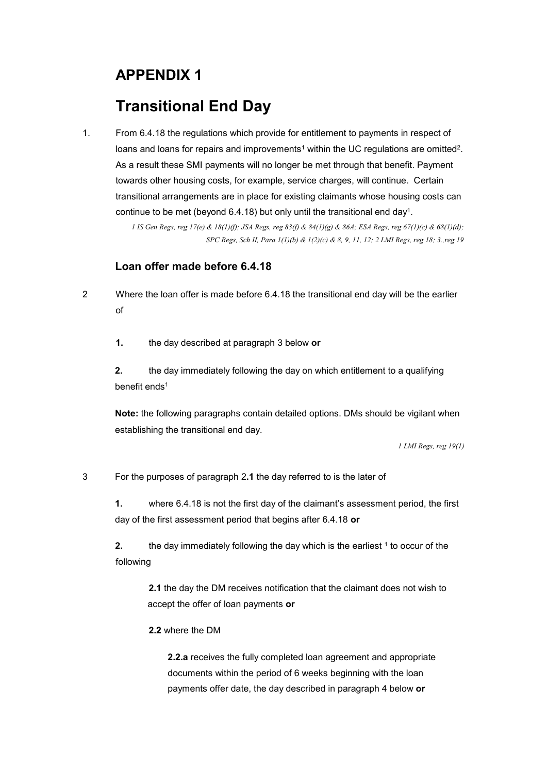# **APPENDIX 1**

# **Transitional End Day**

1. From 6.4.18 the regulations which provide for entitlement to payments in respect of loans and loans for repairs and improvements<sup>1</sup> within the UC regulations are omitted<sup>2</sup>. As a result these SMI payments will no longer be met through that benefit. Payment towards other housing costs, for example, service charges, will continue. Certain transitional arrangements are in place for existing claimants whose housing costs can continue to be met (beyond 6.4.18) but only until the transitional end day<sup>1</sup>.

> *1 IS Gen Regs, reg 17(e) & 18(1)(f); JSA Regs, reg 83(f) & 84(1)(g) & 86A; ESA Regs, reg 67(1)(c) & 68(1)(d); SPC Regs, Sch II, Para 1(1)(b) & 1(2)(c) & 8, 9, 11, 12; 2 LMI Regs, reg 18; 3.,reg 19*

### **Loan offer made before 6.4.18**

2 Where the loan offer is made before 6.4.18 the transitional end day will be the earlier of

**1.** the day described at paragraph 3 below **or** 

**2.** the day immediately following the day on which entitlement to a qualifying benefit ends<sup>1</sup>

**Note:** the following paragraphs contain detailed options. DMs should be vigilant when establishing the transitional end day.

*1 LMI Regs, reg 19(1)* 

3 For the purposes of paragraph 2**.1** the day referred to is the later of

**1.** where 6.4.18 is not the first day of the claimant's assessment period, the first day of the first assessment period that begins after 6.4.18 **or** 

**2.** the day immediately following the day which is the earliest <sup>1</sup> to occur of the following

**2.1** the day the DM receives notification that the claimant does not wish to accept the offer of loan payments **or** 

### **2.2** where the DM

**2.2.a** receives the fully completed loan agreement and appropriate documents within the period of 6 weeks beginning with the loan payments offer date, the day described in paragraph 4 below **or**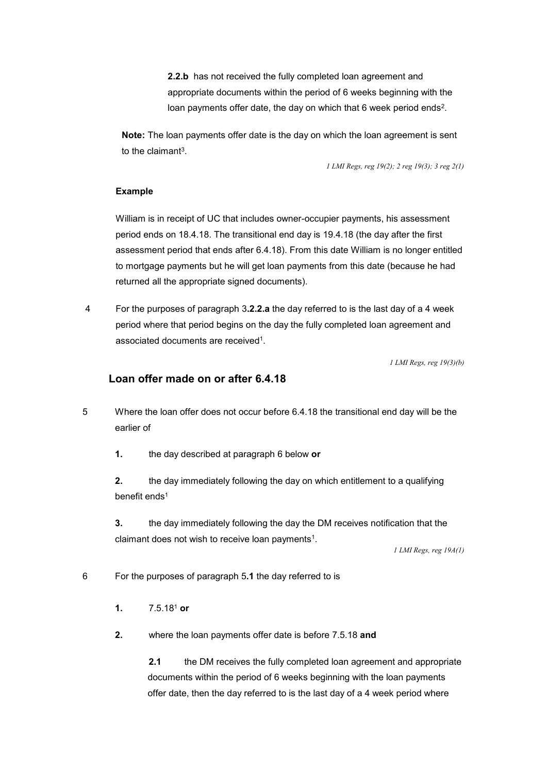**2.2.b** has not received the fully completed loan agreement and appropriate documents within the period of 6 weeks beginning with the loan payments offer date, the day on which that 6 week period ends<sup>2</sup>.

**Note:** The loan payments offer date is the day on which the loan agreement is sent to the claimant3.

 *1 LMI Regs, reg 19(2); 2 reg 19(3); 3 reg 2(1)* 

#### **Example**

William is in receipt of UC that includes owner-occupier payments, his assessment period ends on 18.4.18. The transitional end day is 19.4.18 (the day after the first assessment period that ends after 6.4.18). From this date William is no longer entitled to mortgage payments but he will get loan payments from this date (because he had returned all the appropriate signed documents).

4 For the purposes of paragraph 3**.2.2.a** the day referred to is the last day of a 4 week period where that period begins on the day the fully completed loan agreement and associated documents are received1.

*1 LMI Regs, reg 19(3)(b)* 

### **Loan offer made on or after 6.4.18**

5 Where the loan offer does not occur before 6.4.18 the transitional end day will be the earlier of

**1.** the day described at paragraph 6 below **or** 

**2.** the day immediately following the day on which entitlement to a qualifying benefit ends<sup>1</sup>

**3.** the day immediately following the day the DM receives notification that the claimant does not wish to receive loan payments<sup>1</sup>.

*1 LMI Regs, reg 19A(1)* 

6 For the purposes of paragraph 5**.1** the day referred to is

- **1.** 7.5.181 **or**
- **2.** where the loan payments offer date is before 7.5.18 **and**

**2.1** the DM receives the fully completed loan agreement and appropriate documents within the period of 6 weeks beginning with the loan payments offer date, then the day referred to is the last day of a 4 week period where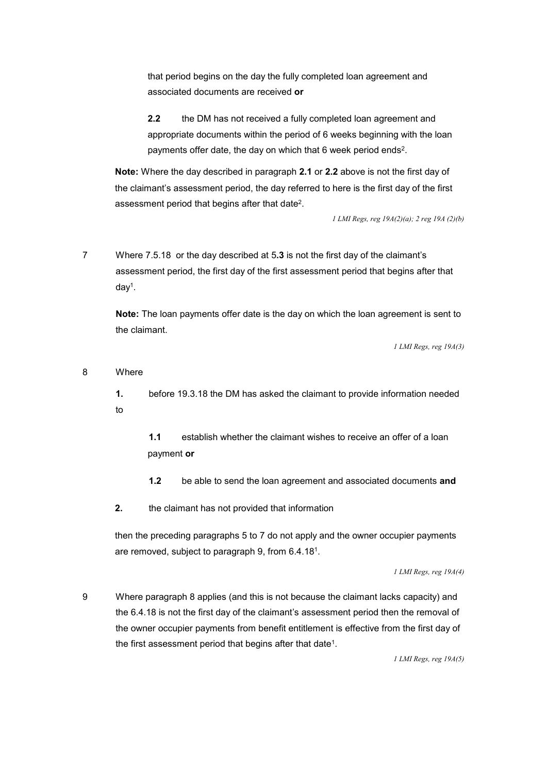that period begins on the day the fully completed loan agreement and associated documents are received **or** 

**2.2** the DM has not received a fully completed loan agreement and appropriate documents within the period of 6 weeks beginning with the loan payments offer date, the day on which that 6 week period ends<sup>2</sup>.

**Note:** Where the day described in paragraph **2.1** or **2.2** above is not the first day of the claimant's assessment period, the day referred to here is the first day of the first assessment period that begins after that date2.

 *1 LMI Regs, reg 19A(2)(a); 2 reg 19A (2)(b)* 

7 Where 7.5.18 or the day described at 5**.3** is not the first day of the claimant's assessment period, the first day of the first assessment period that begins after that day1.

**Note:** The loan payments offer date is the day on which the loan agreement is sent to the claimant.

*1 LMI Regs, reg 19A(3)* 

#### 8 Where

**1.** before 19.3.18 the DM has asked the claimant to provide information needed to

**1.1** establish whether the claimant wishes to receive an offer of a loan payment **or** 

**1.2** be able to send the loan agreement and associated documents **and** 

**2.** the claimant has not provided that information

then the preceding paragraphs 5 to 7 do not apply and the owner occupier payments are removed, subject to paragraph 9, from 6.4.181.

*1 LMI Regs, reg 19A(4)* 

9 Where paragraph 8 applies (and this is not because the claimant lacks capacity) and the 6.4.18 is not the first day of the claimant's assessment period then the removal of the owner occupier payments from benefit entitlement is effective from the first day of the first assessment period that begins after that date<sup>1</sup>.

*1 LMI Regs, reg 19A(5)*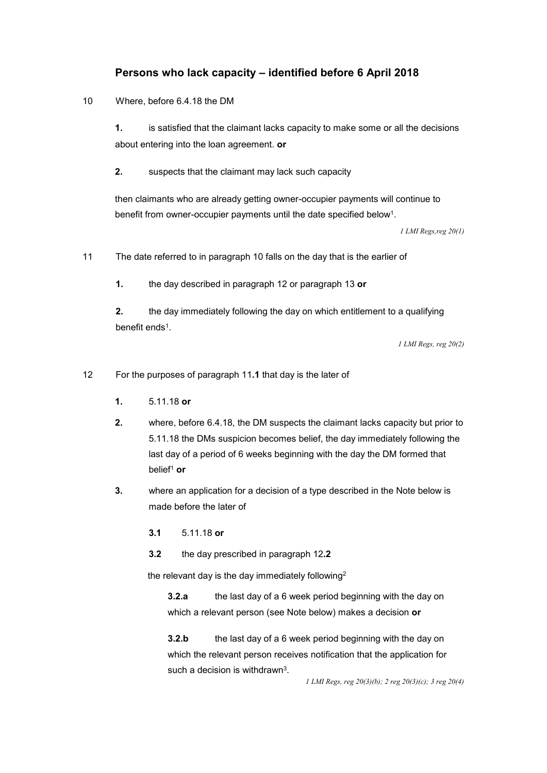### **Persons who lack capacity – identified before 6 April 2018**

10 Where, before 6.4.18 the DM

**1.** is satisfied that the claimant lacks capacity to make some or all the decisions about entering into the loan agreement. **or** 

**2.** suspects that the claimant may lack such capacity

then claimants who are already getting owner-occupier payments will continue to benefit from owner-occupier payments until the date specified below<sup>1</sup>.

*1 LMI Regs,reg 20(1)* 

11 The date referred to in paragraph 10 falls on the day that is the earlier of

**1.** the day described in paragraph 12 or paragraph 13 **or** 

**2.** the day immediately following the day on which entitlement to a qualifying benefit ends<sup>1</sup>.

*1 LMI Regs, reg 20(2)* 

12 For the purposes of paragraph 11**.1** that day is the later of

- **1.** 5.11.18 **or**
- **2.** where, before 6.4.18, the DM suspects the claimant lacks capacity but prior to 5.11.18 the DMs suspicion becomes belief, the day immediately following the last day of a period of 6 weeks beginning with the day the DM formed that belief1 **or**
- **3.** where an application for a decision of a type described in the Note below is made before the later of
	- **3.1** 5.11.18 **or**
	- **3.2** the day prescribed in paragraph 12**.2**

the relevant day is the day immediately following<sup>2</sup>

**3.2.a** the last day of a 6 week period beginning with the day on which a relevant person (see Note below) makes a decision **or** 

**3.2.b** the last day of a 6 week period beginning with the day on which the relevant person receives notification that the application for such a decision is withdrawn<sup>3</sup>.

 *1 LMI Regs, reg 20(3)(b); 2 reg 20(3)(c); 3 reg 20(4)*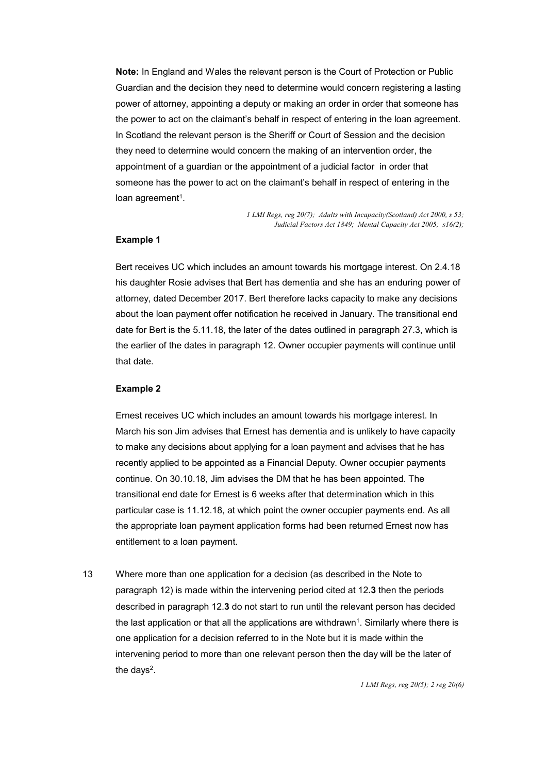**Note:** In England and Wales the relevant person is the Court of Protection or Public Guardian and the decision they need to determine would concern registering a lasting power of attorney, appointing a deputy or making an order in order that someone has the power to act on the claimant's behalf in respect of entering in the loan agreement. In Scotland the relevant person is the Sheriff or Court of Session and the decision they need to determine would concern the making of an intervention order, the appointment of a guardian or the appointment of a judicial factor in order that someone has the power to act on the claimant's behalf in respect of entering in the loan agreement<sup>1</sup>.

> *1 LMI Regs, reg 20(7); Adults with Incapacity(Scotland) Act 2000, s 53; Judicial Factors Act 1849; Mental Capacity Act 2005; s16(2);*

#### **Example 1**

Bert receives UC which includes an amount towards his mortgage interest. On 2.4.18 his daughter Rosie advises that Bert has dementia and she has an enduring power of attorney, dated December 2017. Bert therefore lacks capacity to make any decisions about the loan payment offer notification he received in January. The transitional end date for Bert is the 5.11.18, the later of the dates outlined in paragraph 27.3, which is the earlier of the dates in paragraph 12. Owner occupier payments will continue until that date.

#### **Example 2**

Ernest receives UC which includes an amount towards his mortgage interest. In March his son Jim advises that Ernest has dementia and is unlikely to have capacity to make any decisions about applying for a loan payment and advises that he has recently applied to be appointed as a Financial Deputy. Owner occupier payments continue. On 30.10.18, Jim advises the DM that he has been appointed. The transitional end date for Ernest is 6 weeks after that determination which in this particular case is 11.12.18, at which point the owner occupier payments end. As all the appropriate loan payment application forms had been returned Ernest now has entitlement to a loan payment.

13 Where more than one application for a decision (as described in the Note to paragraph 12) is made within the intervening period cited at 12**.3** then the periods described in paragraph 12.**3** do not start to run until the relevant person has decided the last application or that all the applications are withdrawn<sup>1</sup>. Similarly where there is one application for a decision referred to in the Note but it is made within the intervening period to more than one relevant person then the day will be the later of the days $2$ .

 *1 LMI Regs, reg 20(5); 2 reg 20(6)*